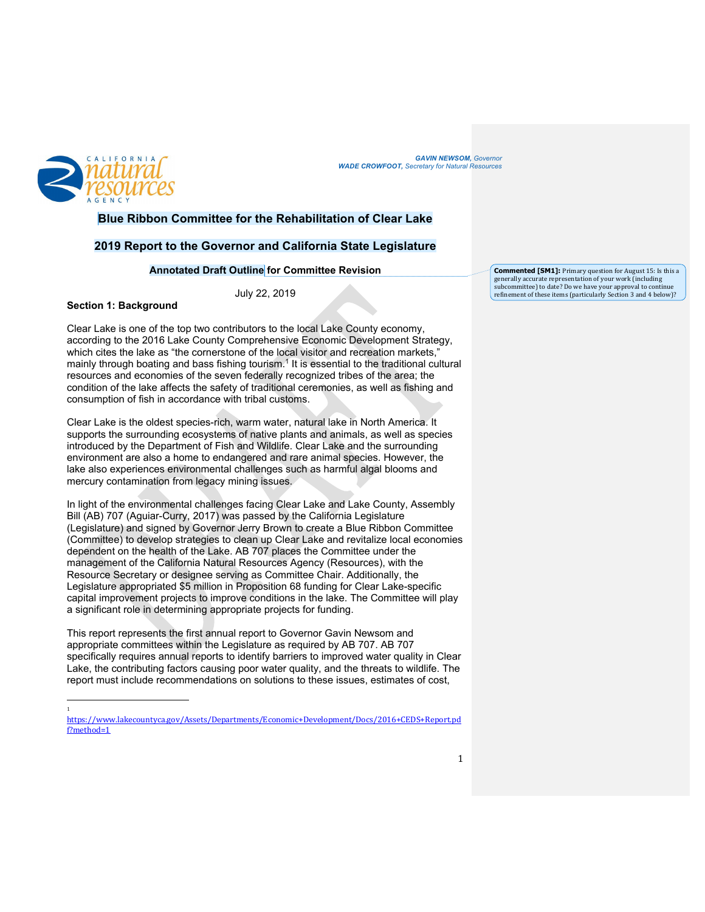

*GAVIN NEWSOM, Governor WADE CROWFOOT, Secretary for Natural Resources*

## **Blue Ribbon Committee for the Rehabilitation of Clear Lake**

## **2019 Report to the Governor and California State Legislature**

### **Annotated Draft Outline for Committee Revision**

July 22, 2019

## **Section 1: Background**

1

Clear Lake is one of the top two contributors to the local Lake County economy, according to the 2016 Lake County Comprehensive Economic Development Strategy, which cites the lake as "the cornerstone of the local visitor and recreation markets," mainly through boating and bass fishing tourism.<sup>1</sup> It is essential to the traditional cultural resources and economies of the seven federally recognized tribes of the area; the condition of the lake affects the safety of traditional ceremonies, as well as fishing and consumption of fish in accordance with tribal customs.

Clear Lake is the oldest species-rich, warm water, natural lake in North America. It supports the surrounding ecosystems of native plants and animals, as well as species introduced by the Department of Fish and Wildlife. Clear Lake and the surrounding environment are also a home to endangered and rare animal species. However, the lake also experiences environmental challenges such as harmful algal blooms and mercury contamination from legacy mining issues.

In light of the environmental challenges facing Clear Lake and Lake County, Assembly Bill (AB) 707 (Aguiar-Curry, 2017) was passed by the California Legislature (Legislature) and signed by Governor Jerry Brown to create a Blue Ribbon Committee (Committee) to develop strategies to clean up Clear Lake and revitalize local economies dependent on the health of the Lake. AB 707 places the Committee under the management of the California Natural Resources Agency (Resources), with the Resource Secretary or designee serving as Committee Chair. Additionally, the Legislature appropriated \$5 million in Proposition 68 funding for Clear Lake-specific capital improvement projects to improve conditions in the lake. The Committee will play a significant role in determining appropriate projects for funding.

This report represents the first annual report to Governor Gavin Newsom and appropriate committees within the Legislature as required by AB 707. AB 707 specifically requires annual reports to identify barriers to improved water quality in Clear Lake, the contributing factors causing poor water quality, and the threats to wildlife. The report must include recommendations on solutions to these issues, estimates of cost,

**Commented [SM1]:** Primary question for August 15: Is this a generally accurate representation of your work (including subcommittee) to date? Do we have your approval to continue<br>refinement of these items (particularly Section 3 and 4 below)?

https://www.lakecountyca.gov/Assets/Departments/Economic+Development/Docs/2016+CEDS+Report.pd f?method=1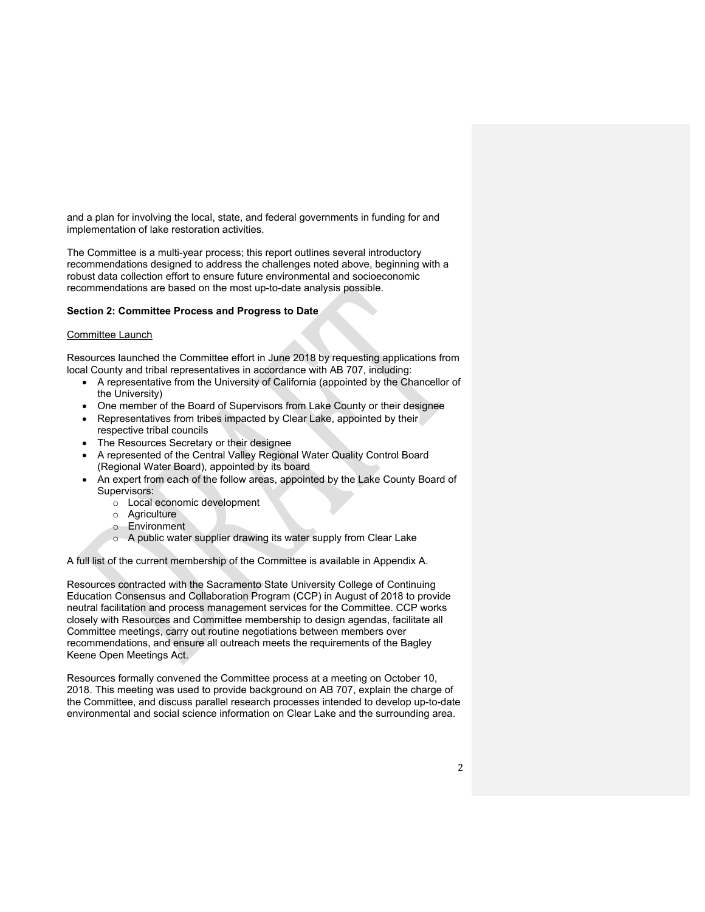and a plan for involving the local, state, and federal governments in funding for and implementation of lake restoration activities.

The Committee is a multi-year process; this report outlines several introductory recommendations designed to address the challenges noted above, beginning with a robust data collection effort to ensure future environmental and socioeconomic recommendations are based on the most up-to-date analysis possible.

## **Section 2: Committee Process and Progress to Date**

### Committee Launch

Resources launched the Committee effort in June 2018 by requesting applications from local County and tribal representatives in accordance with AB 707, including:

- A representative from the University of California (appointed by the Chancellor of the University)
- One member of the Board of Supervisors from Lake County or their designee
- Representatives from tribes impacted by Clear Lake, appointed by their respective tribal councils
- **The Resources Secretary or their designee**
- A represented of the Central Valley Regional Water Quality Control Board (Regional Water Board), appointed by its board
- An expert from each of the follow areas, appointed by the Lake County Board of Supervisors:
	- o Local economic development
	- o Agriculture
	- o Environment
	- o A public water supplier drawing its water supply from Clear Lake

A full list of the current membership of the Committee is available in Appendix A.

Resources contracted with the Sacramento State University College of Continuing Education Consensus and Collaboration Program (CCP) in August of 2018 to provide neutral facilitation and process management services for the Committee. CCP works closely with Resources and Committee membership to design agendas, facilitate all Committee meetings, carry out routine negotiations between members over recommendations, and ensure all outreach meets the requirements of the Bagley Keene Open Meetings Act.

Resources formally convened the Committee process at a meeting on October 10, 2018. This meeting was used to provide background on AB 707, explain the charge of the Committee, and discuss parallel research processes intended to develop up-to-date environmental and social science information on Clear Lake and the surrounding area.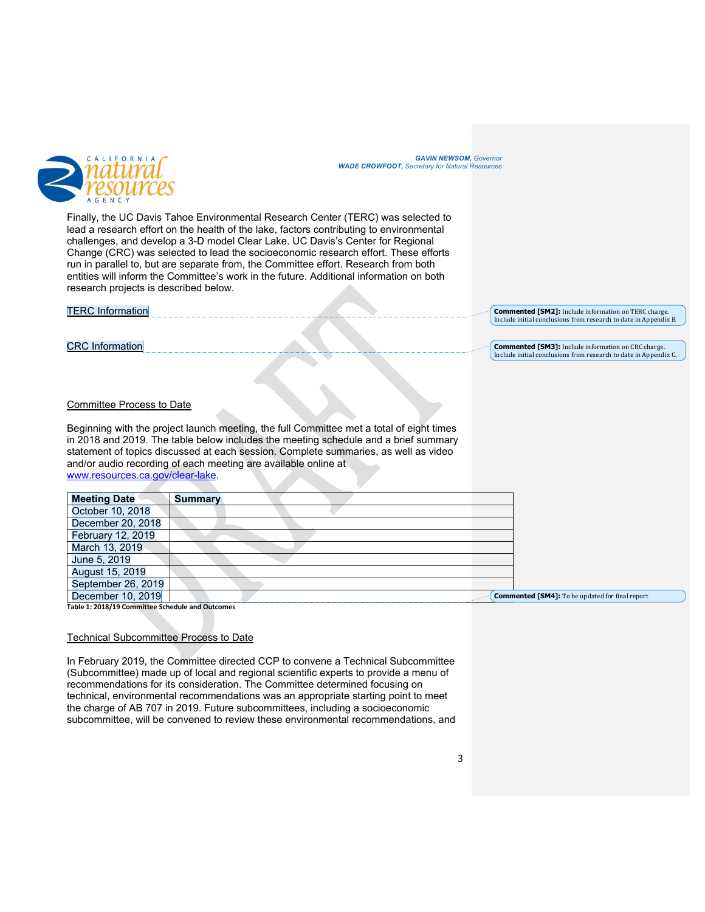



Finally, the UC Davis Tahoe Environmental Research Center (TERC) was selected to lead a research effort on the health of the lake, factors contributing to environmental challenges, and develop a 3-D model Clear Lake. UC Davis's Center for Regional Change (CRC) was selected to lead the socioeconomic research effort. These efforts run in parallel to, but are separate from, the Committee effort. Research from both entities will inform the Committee's work in the future. Additional information on both research projects is described below.

#### **TERC** Information

CRC Information

**Commented [SM2]:** Include information on TERC charge.<br>Include initial conclusions from research to date in Appendix B.

**Commented [SM3]:** Include information on CRC charge. Include initial conclusions from research to date in Appendix C.

### Committee Process to Date

Beginning with the project launch meeting, the full Committee met a total of eight times in 2018 and 2019. The table below includes the meeting schedule and a brief summary statement of topics discussed at each session. Complete summaries, as well as video and/or audio recording of each meeting are available online at www.resources.ca.gov/clear-lake.

| <b>Meeting Date</b>      | <b>Summary</b>                                         |
|--------------------------|--------------------------------------------------------|
| October 10, 2018         |                                                        |
| December 20, 2018        |                                                        |
| <b>February 12, 2019</b> |                                                        |
| March 13, 2019           |                                                        |
| June 5, 2019             |                                                        |
| August 15, 2019          |                                                        |
| September 26, 2019       |                                                        |
| December 10, 2019        | <b>Commented [SM4]:</b> To be updated for final report |

**Table 1: 2018/19 Committee Schedule and Outcomes**

## Technical Subcommittee Process to Date

In February 2019, the Committee directed CCP to convene a Technical Subcommittee (Subcommittee) made up of local and regional scientific experts to provide a menu of recommendations for its consideration. The Committee determined focusing on technical, environmental recommendations was an appropriate starting point to meet the charge of AB 707 in 2019. Future subcommittees, including a socioeconomic subcommittee, will be convened to review these environmental recommendations, and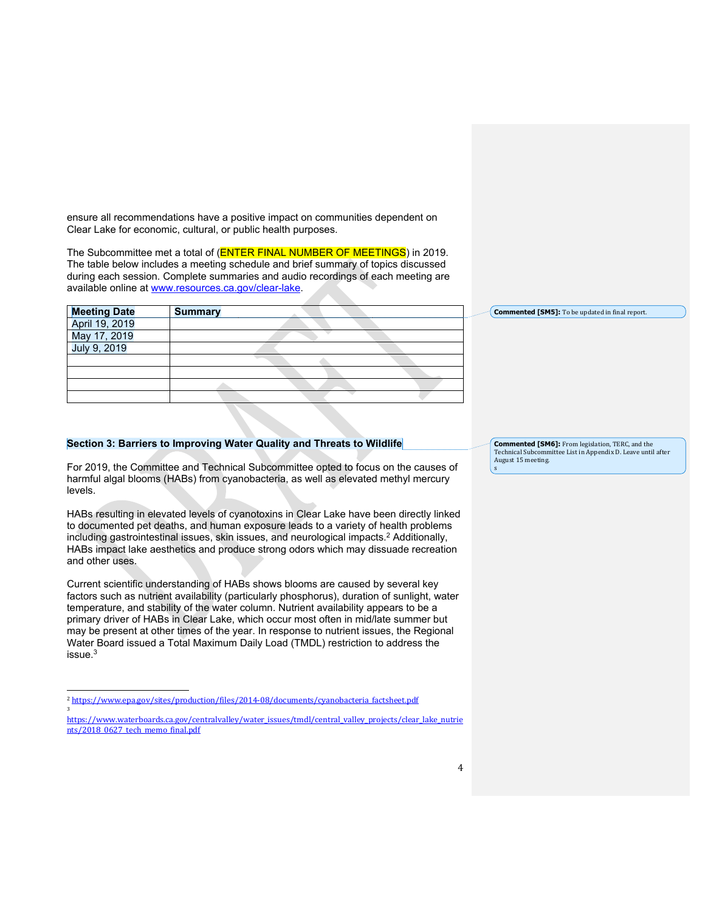ensure all recommendations have a positive impact on communities dependent on Clear Lake for economic, cultural, or public health purposes.

The Subcommittee met a total of (**ENTER FINAL NUMBER OF MEETINGS**) in 2019. The table below includes a meeting schedule and brief summary of topics discussed during each session. Complete summaries and audio recordings of each meeting are available online at www.resources.ca.gov/clear-lake.

| <b>Meeting Date</b>            | <b>Summary</b> |  |  |
|--------------------------------|----------------|--|--|
|                                |                |  |  |
| April 19, 2019<br>May 17, 2019 |                |  |  |
| July 9, 2019                   |                |  |  |
|                                |                |  |  |
|                                |                |  |  |
|                                |                |  |  |
|                                |                |  |  |

### **Section 3: Barriers to Improving Water Quality and Threats to Wildlife**

For 2019, the Committee and Technical Subcommittee opted to focus on the causes of harmful algal blooms (HABs) from cyanobacteria, as well as elevated methyl mercury levels.

HABs resulting in elevated levels of cyanotoxins in Clear Lake have been directly linked to documented pet deaths, and human exposure leads to a variety of health problems including gastrointestinal issues, skin issues, and neurological impacts.2 Additionally, HABs impact lake aesthetics and produce strong odors which may dissuade recreation and other uses.

Current scientific understanding of HABs shows blooms are caused by several key factors such as nutrient availability (particularly phosphorus), duration of sunlight, water temperature, and stability of the water column. Nutrient availability appears to be a primary driver of HABs in Clear Lake, which occur most often in mid/late summer but may be present at other times of the year. In response to nutrient issues, the Regional Water Board issued a Total Maximum Daily Load (TMDL) restriction to address the  $i$ ssue. $3$ 

3

**Commented [SM6]:** From legislation, TERC, and the Technical Subcommittee List in Appendix D. Leave until after August 15 meeting. s

**Commented [SM5]:** To be updated in final report.

<sup>&</sup>lt;sup>2</sup> https://www.epa.gov/sites/production/files/2014-08/documents/cyanobacteria\_factsheet.pdf

https://www.waterboards.ca.gov/centralvalley/water\_issues/tmdl/central\_valley\_projects/clear\_lake\_nutrie nts/2018\_0627\_tech\_memo\_final.pdf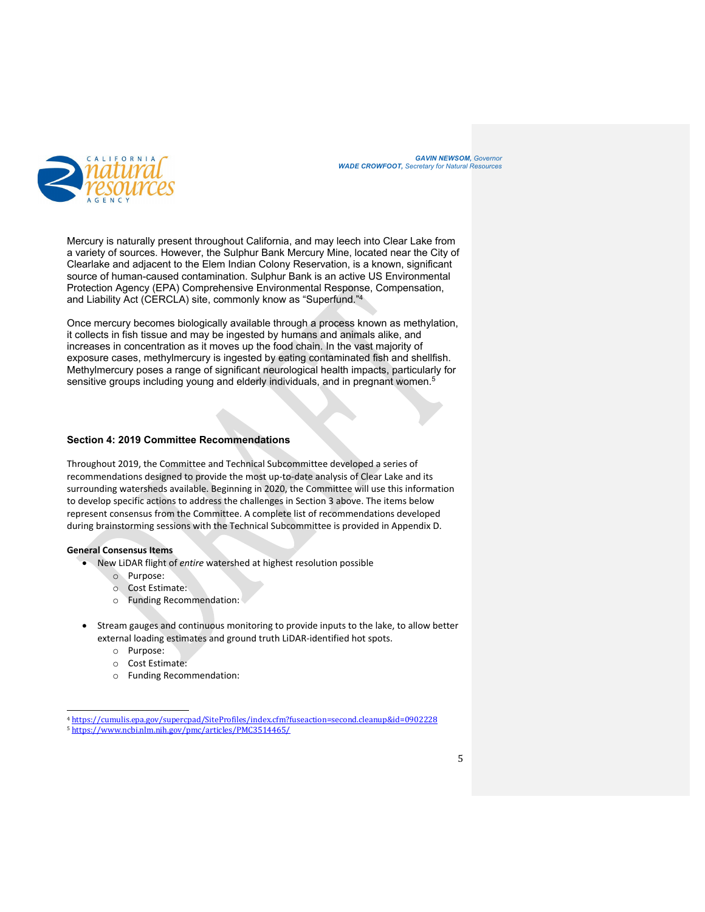

*GAVIN NEWSOM, Governor WADE CROWFOOT, Secretary for Natural Resources*

Mercury is naturally present throughout California, and may leech into Clear Lake from a variety of sources. However, the Sulphur Bank Mercury Mine, located near the City of Clearlake and adjacent to the Elem Indian Colony Reservation, is a known, significant source of human-caused contamination. Sulphur Bank is an active US Environmental Protection Agency (EPA) Comprehensive Environmental Response, Compensation, and Liability Act (CERCLA) site, commonly know as "Superfund."4

Once mercury becomes biologically available through a process known as methylation, it collects in fish tissue and may be ingested by humans and animals alike, and increases in concentration as it moves up the food chain. In the vast majority of exposure cases, methylmercury is ingested by eating contaminated fish and shellfish. Methylmercury poses a range of significant neurological health impacts, particularly for sensitive groups including young and elderly individuals, and in pregnant women.<sup>5</sup>

## **Section 4: 2019 Committee Recommendations**

Throughout 2019, the Committee and Technical Subcommittee developed a series of recommendations designed to provide the most up-to-date analysis of Clear Lake and its surrounding watersheds available. Beginning in 2020, the Committee will use this information to develop specific actions to address the challenges in Section 3 above. The items below represent consensus from the Committee. A complete list of recommendations developed during brainstorming sessions with the Technical Subcommittee is provided in Appendix D.

### **General Consensus Items**

- New LiDAR flight of *entire* watershed at highest resolution possible
	- o Purpose:
	- o Cost Estimate:
	- o Funding Recommendation:
- Stream gauges and continuous monitoring to provide inputs to the lake, to allow better external loading estimates and ground truth LiDAR-identified hot spots.
	- o Purpose:
	- o Cost Estimate:
	- o Funding Recommendation:

<sup>4</sup> https://cumulis.epa.gov/supercpad/SiteProfiles/index.cfm?fuseaction=second.cleanup&id=0902228 <sup>5</sup> https://www.ncbi.nlm.nih.gov/pmc/articles/PMC3514465/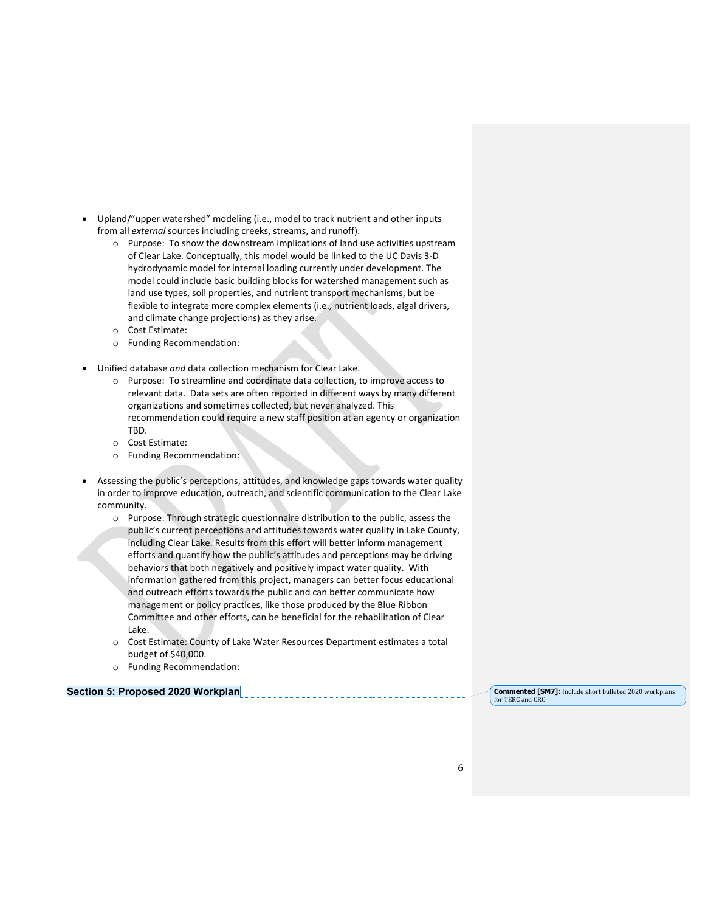- Upland/"upper watershed" modeling (i.e., model to track nutrient and other inputs from all *external* sources including creeks, streams, and runoff).
	- $\circ$  Purpose: To show the downstream implications of land use activities upstream of Clear Lake. Conceptually, this model would be linked to the UC Davis 3-D hydrodynamic model for internal loading currently under development. The model could include basic building blocks for watershed management such as land use types, soil properties, and nutrient transport mechanisms, but be flexible to integrate more complex elements (i.e., nutrient loads, algal drivers, and climate change projections) as they arise.
	- o Cost Estimate:
	- o Funding Recommendation:
- Unified database *and* data collection mechanism for Clear Lake.
	- o Purpose: To streamline and coordinate data collection, to improve access to relevant data. Data sets are often reported in different ways by many different organizations and sometimes collected, but never analyzed. This recommendation could require a new staff position at an agency or organization TBD.
	- o Cost Estimate:
	- o Funding Recommendation:
- Assessing the public's perceptions, attitudes, and knowledge gaps towards water quality in order to improve education, outreach, and scientific communication to the Clear Lake community.
	- o Purpose: Through strategic questionnaire distribution to the public, assess the public's current perceptions and attitudes towards water quality in Lake County, including Clear Lake. Results from this effort will better inform management efforts and quantify how the public's attitudes and perceptions may be driving behaviors that both negatively and positively impact water quality. With information gathered from this project, managers can better focus educational and outreach efforts towards the public and can better communicate how management or policy practices, like those produced by the Blue Ribbon Committee and other efforts, can be beneficial for the rehabilitation of Clear Lake.
	- o Cost Estimate: County of Lake Water Resources Department estimates a total budget of \$40,000.
	- o Funding Recommendation:

#### **Section 5: Proposed 2020 Workplan Commented [SM7]:** Include short bulleted 2020 workplans

for TERC and CRC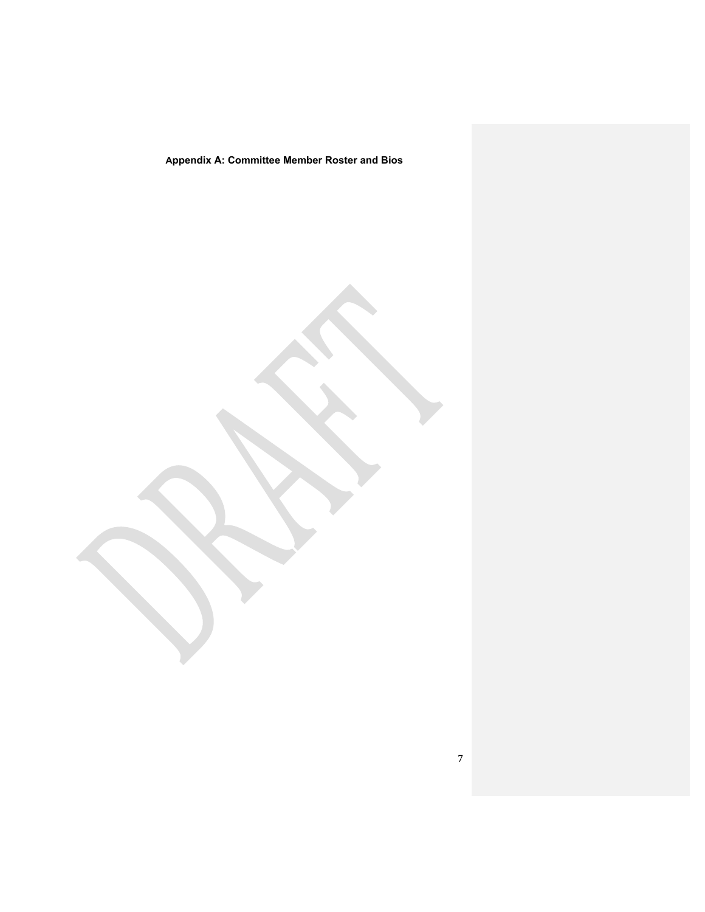**Appendix A: Committee Member Roster and Bios**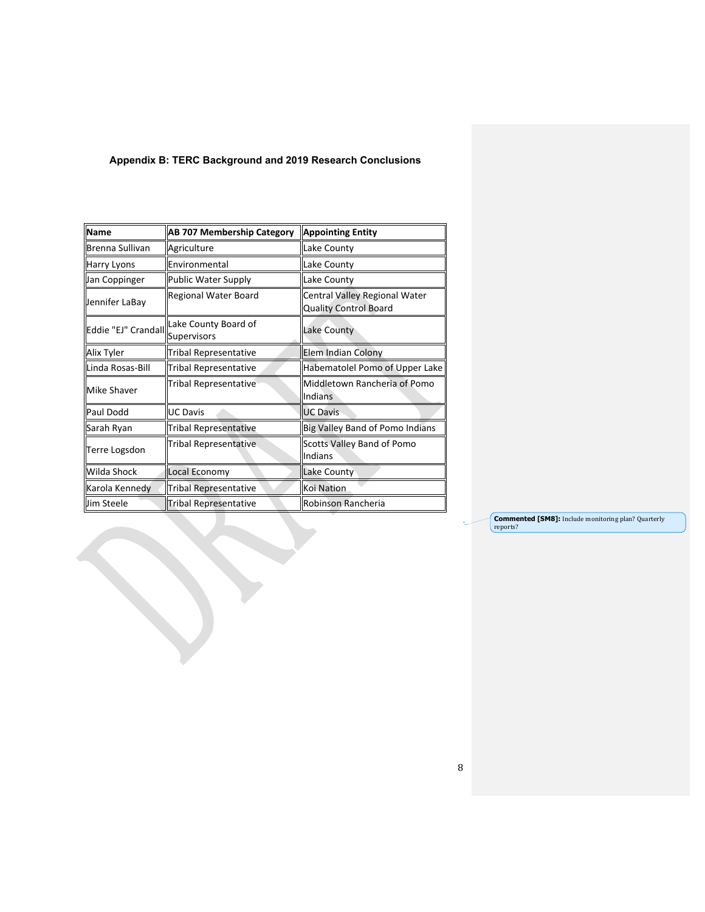# **Appendix B: TERC Background and 2019 Research Conclusions**

| <b>Name</b>         | <b>AB 707 Membership Category</b>   | <b>Appointing Entity</b>                                      |
|---------------------|-------------------------------------|---------------------------------------------------------------|
| Brenna Sullivan     | Agriculture                         | Lake County                                                   |
| Harry Lyons         | Environmental                       | Lake County                                                   |
| Jan Coppinger       | Public Water Supply                 | Lake County                                                   |
| Jennifer LaBay      | Regional Water Board                | Central Valley Regional Water<br><b>Quality Control Board</b> |
| Eddie "EJ" Crandall | Lake County Board of<br>Supervisors | <b>Lake County</b>                                            |
| <b>Alix Tyler</b>   | <b>Tribal Representative</b>        | Elem Indian Colony                                            |
| Linda Rosas-Bill    | <b>Tribal Representative</b>        | Habematolel Pomo of Upper Lake                                |
| Mike Shaver         | <b>Tribal Representative</b>        | Middletown Rancheria of Pomo<br>Indians                       |
| Paul Dodd           | <b>UC Davis</b>                     | <b>UC Davis</b>                                               |
| Sarah Ryan          | <b>Tribal Representative</b>        | <b>Big Valley Band of Pomo Indians</b>                        |
| Terre Logsdon       | Tribal Representative               | <b>Scotts Valley Band of Pomo</b><br>Indians                  |
| Wilda Shock         | Local Economy                       | Lake County                                                   |
| Karola Kennedy      | <b>Tribal Representative</b>        | Koi Nation                                                    |
| <b>Jim Steele</b>   | Tribal Representative               | Robinson Rancheria                                            |

**CONTROLLER** 

**Commented [SM8]:** Include monitoring plan? Quarterly<br>reports?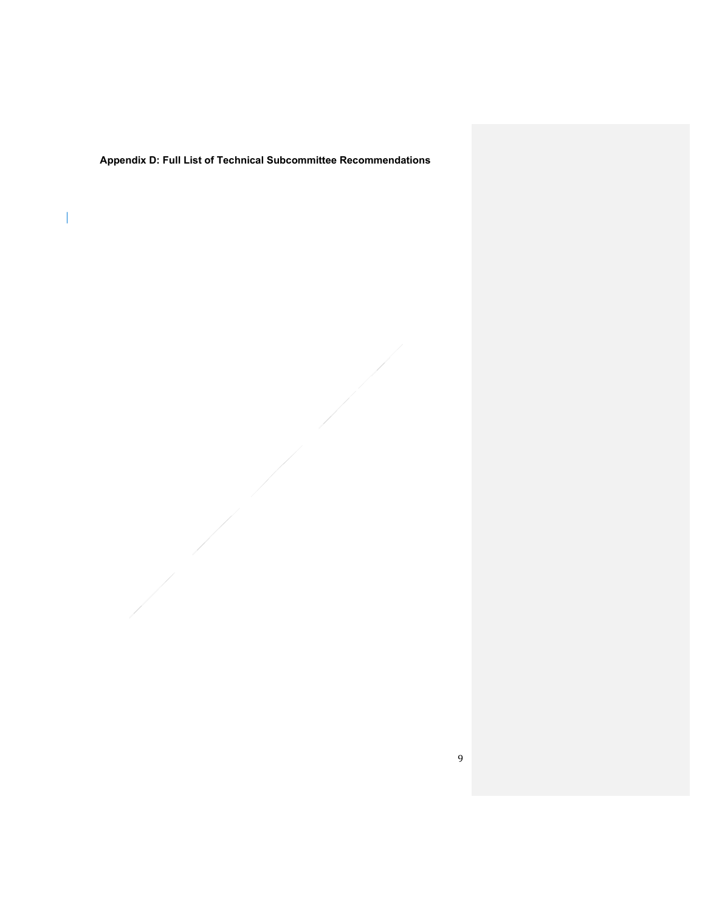**Appendix D: Full List of Technical Subcommittee Recommendations**

 $\overline{\phantom{a}}$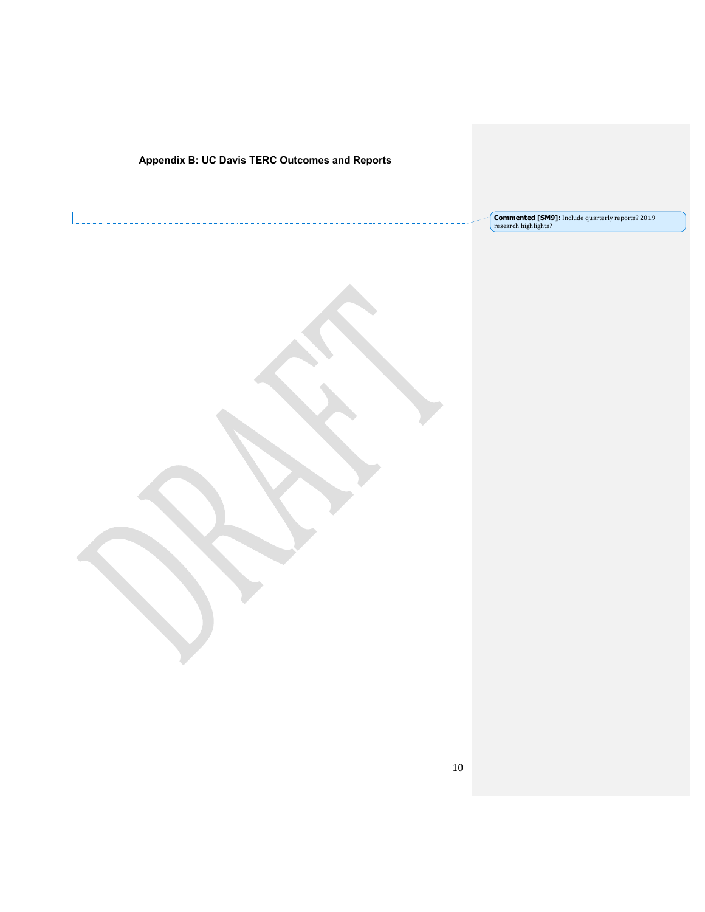# **Appendix B: UC Davis TERC Outcomes and Reports**

**Commented [SM9]:** Include quarterly reports? 2019<br>research highlights?